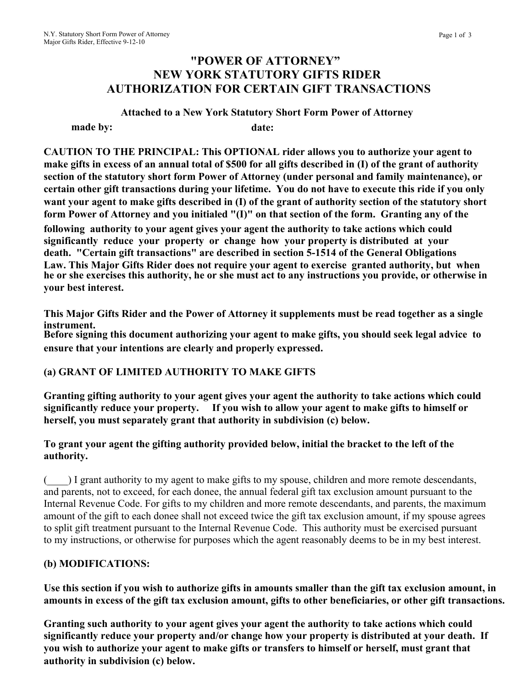# **"POWER OF ATTORNEY" NEW YORK STATUTORY GIFTS RIDER AUTHORIZATION FOR CERTAIN GIFT TRANSACTIONS**

**Attached to a New York Statutory Short Form Power of Attorney made by: date:** 

**CAUTION TO THE PRINCIPAL: This OPTIONAL rider allows you to authorize your agent to make gifts in excess of an annual total of \$500 for all gifts described in (I) of the grant of authority section of the statutory short form Power of Attorney (under personal and family maintenance), or certain other gift transactions during your lifetime. You do not have to execute this ride if you only want your agent to make gifts described in (I) of the grant of authority section of the statutory short form Power of Attorney and you initialed "(I)" on that section of the form. Granting any of the** 

**following authority to your agent gives your agent the authority to take actions which could significantly reduce your property or change how your property is distributed at your death. "Certain gift transactions" are described in section 5-1514 of the General Obligations Law. This Major Gifts Rider does not require your agent to exercise granted authority, but when he or she exercises this authority, he or she must act to any instructions you provide, or otherwise in your best interest.**

**This Major Gifts Rider and the Power of Attorney it supplements must be read together as a single instrument.** 

**Before signing this document authorizing your agent to make gifts, you should seek legal advice to ensure that your intentions are clearly and properly expressed.** 

## **(a) GRANT OF LIMITED AUTHORITY TO MAKE GIFTS**

**Granting gifting authority to your agent gives your agent the authority to take actions which could significantly reduce your property. If you wish to allow your agent to make gifts to himself or herself, you must separately grant that authority in subdivision (c) below.**

### **To grant your agent the gifting authority provided below, initial the bracket to the left of the authority.**

(\_\_\_\_) I grant authority to my agent to make gifts to my spouse, children and more remote descendants, and parents, not to exceed, for each donee, the annual federal gift tax exclusion amount pursuant to the Internal Revenue Code. For gifts to my children and more remote descendants, and parents, the maximum amount of the gift to each donee shall not exceed twice the gift tax exclusion amount, if my spouse agrees to split gift treatment pursuant to the Internal Revenue Code. This authority must be exercised pursuant to my instructions, or otherwise for purposes which the agent reasonably deems to be in my best interest.

### **(b) MODIFICATIONS:**

**Use this section if you wish to authorize gifts in amounts smaller than the gift tax exclusion amount, in amounts in excess of the gift tax exclusion amount, gifts to other beneficiaries, or other gift transactions.**

**Granting such authority to your agent gives your agent the authority to take actions which could significantly reduce your property and/or change how your property is distributed at your death. If you wish to authorize your agent to make gifts or transfers to himself or herself, must grant that authority in subdivision (c) below.**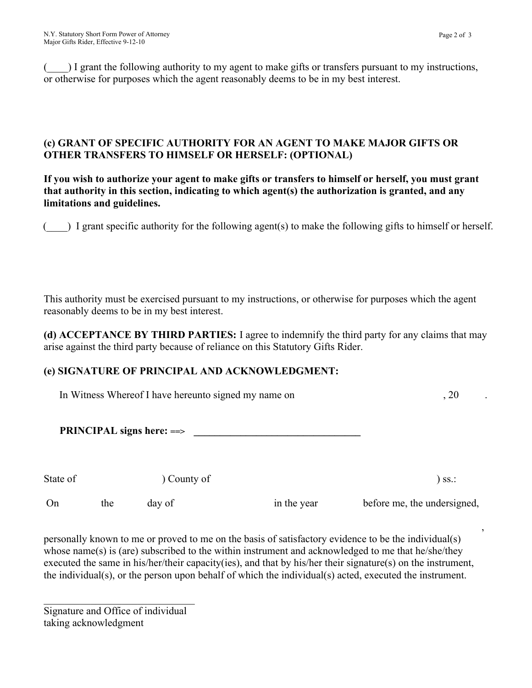(\_\_\_\_) I grant the following authority to my agent to make gifts or transfers pursuant to my instructions, or otherwise for purposes which the agent reasonably deems to be in my best interest.

### **(c) GRANT OF SPECIFIC AUTHORITY FOR AN AGENT TO MAKE MAJOR GIFTS OR OTHER TRANSFERS TO HIMSELF OR HERSELF: (OPTIONAL)**

**If you wish to authorize your agent to make gifts or transfers to himself or herself, you must grant that authority in this section, indicating to which agent(s) the authorization is granted, and any limitations and guidelines.** 

 $($ ) I grant specific authority for the following agent(s) to make the following gifts to himself or herself.

This authority must be exercised pursuant to my instructions, or otherwise for purposes which the agent reasonably deems to be in my best interest.

**(d) ACCEPTANCE BY THIRD PARTIES:** I agree to indemnify the third party for any claims that may arise against the third party because of reliance on this Statutory Gifts Rider.

## **(e) SIGNATURE OF PRINCIPAL AND ACKNOWLEDGMENT:**

In Witness Whereof I have hereunto signed my name on  $\sim$  20

**PRINCIPAL signs here: ==> \_\_\_\_\_\_\_\_\_\_\_\_\_\_\_\_\_\_\_\_\_\_\_\_\_\_\_\_\_\_\_\_**

State of  $\qquad \qquad$  ) County of  $\qquad \qquad$  ) ss.:

 $\, , \,$ personally known to me or proved to me on the basis of satisfactory evidence to be the individual(s) whose name(s) is (are) subscribed to the within instrument and acknowledged to me that he/she/they executed the same in his/her/their capacity(ies), and that by his/her their signature(s) on the instrument, the individual(s), or the person upon behalf of which the individual(s) acted, executed the instrument.

Signature and Office of individual taking acknowledgment

 $\overline{\phantom{a}}$  ,  $\overline{\phantom{a}}$  ,  $\overline{\phantom{a}}$  ,  $\overline{\phantom{a}}$  ,  $\overline{\phantom{a}}$  ,  $\overline{\phantom{a}}$  ,  $\overline{\phantom{a}}$  ,  $\overline{\phantom{a}}$  ,  $\overline{\phantom{a}}$  ,  $\overline{\phantom{a}}$  ,  $\overline{\phantom{a}}$  ,  $\overline{\phantom{a}}$  ,  $\overline{\phantom{a}}$  ,  $\overline{\phantom{a}}$  ,  $\overline{\phantom{a}}$  ,  $\overline{\phantom{a}}$ 

On the day of  $\qquad$  in the year before me, the undersigned,